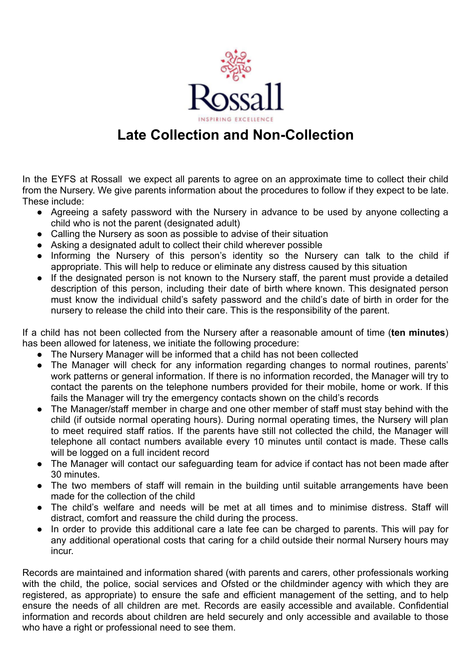

## **Late Collection and Non-Collection**

In the EYFS at Rossall we expect all parents to agree on an approximate time to collect their child from the Nursery. We give parents information about the procedures to follow if they expect to be late. These include:

- Agreeing a safety password with the Nursery in advance to be used by anyone collecting a child who is not the parent (designated adult)
- Calling the Nursery as soon as possible to advise of their situation
- Asking a designated adult to collect their child wherever possible
- Informing the Nursery of this person's identity so the Nursery can talk to the child if appropriate. This will help to reduce or eliminate any distress caused by this situation
- If the designated person is not known to the Nursery staff, the parent must provide a detailed description of this person, including their date of birth where known. This designated person must know the individual child's safety password and the child's date of birth in order for the nursery to release the child into their care. This is the responsibility of the parent.

If a child has not been collected from the Nursery after a reasonable amount of time (**ten minutes**) has been allowed for lateness, we initiate the following procedure:

- The Nursery Manager will be informed that a child has not been collected
- The Manager will check for any information regarding changes to normal routines, parents' work patterns or general information. If there is no information recorded, the Manager will try to contact the parents on the telephone numbers provided for their mobile, home or work. If this fails the Manager will try the emergency contacts shown on the child's records
- The Manager/staff member in charge and one other member of staff must stay behind with the child (if outside normal operating hours). During normal operating times, the Nursery will plan to meet required staff ratios. If the parents have still not collected the child, the Manager will telephone all contact numbers available every 10 minutes until contact is made. These calls will be logged on a full incident record
- The Manager will contact our safeguarding team for advice if contact has not been made after 30 minutes.
- The two members of staff will remain in the building until suitable arrangements have been made for the collection of the child
- The child's welfare and needs will be met at all times and to minimise distress. Staff will distract, comfort and reassure the child during the process.
- In order to provide this additional care a late fee can be charged to parents. This will pay for any additional operational costs that caring for a child outside their normal Nursery hours may incur.

Records are maintained and information shared (with parents and carers, other professionals working with the child, the police, social services and Ofsted or the childminder agency with which they are registered, as appropriate) to ensure the safe and efficient management of the setting, and to help ensure the needs of all children are met. Records are easily accessible and available. Confidential information and records about children are held securely and only accessible and available to those who have a right or professional need to see them.